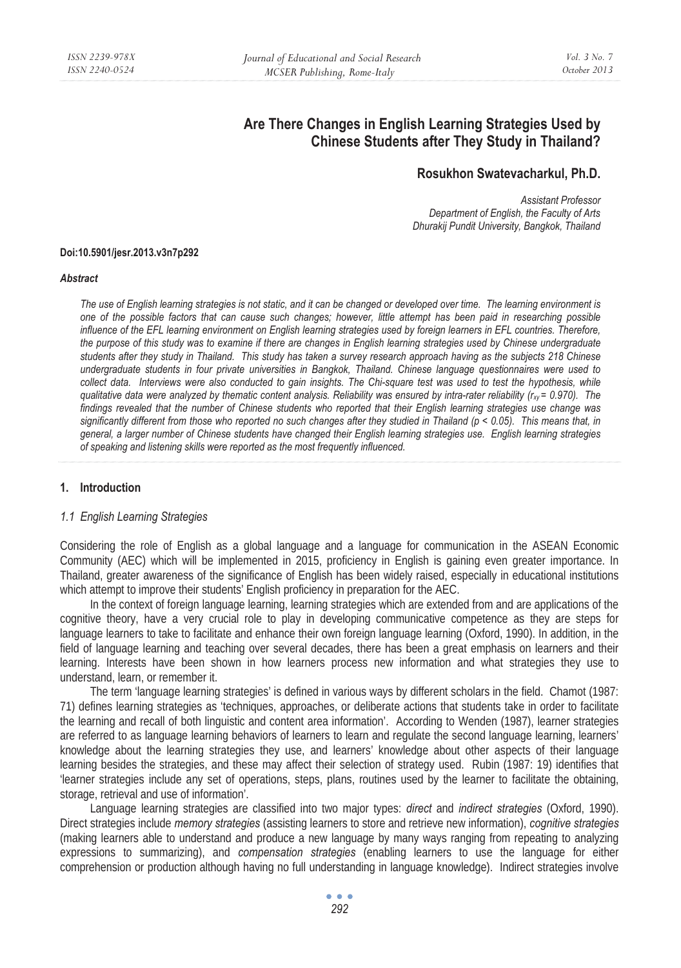# **Are There Changes in English Learning Strategies Used by Chinese Students after They Study in Thailand?**

# **Rosukhon Swatevacharkul, Ph.D.**

*Assistant Professor Department of English, the Faculty of Arts Dhurakij Pundit University, Bangkok, Thailand* 

#### **Doi:10.5901/jesr.2013.v3n7p292**

#### *Abstract*

*The use of English learning strategies is not static, and it can be changed or developed over time. The learning environment is one of the possible factors that can cause such changes; however, little attempt has been paid in researching possible influence of the EFL learning environment on English learning strategies used by foreign learners in EFL countries. Therefore, the purpose of this study was to examine if there are changes in English learning strategies used by Chinese undergraduate students after they study in Thailand. This study has taken a survey research approach having as the subjects 218 Chinese undergraduate students in four private universities in Bangkok, Thailand. Chinese language questionnaires were used to*  collect data. Interviews were also conducted to gain insights. The Chi-square test was used to test the hypothesis, while *qualitative data were analyzed by thematic content analysis. Reliability was ensured by intra-rater reliability (* $r_{xy}$  *= 0.970). The findings revealed that the number of Chinese students who reported that their English learning strategies use change was significantly different from those who reported no such changes after they studied in Thailand (p < 0.05). This means that, in general, a larger number of Chinese students have changed their English learning strategies use. English learning strategies of speaking and listening skills were reported as the most frequently influenced.* 

### **1. Introduction**

#### *1.1 English Learning Strategies*

Considering the role of English as a global language and a language for communication in the ASEAN Economic Community (AEC) which will be implemented in 2015, proficiency in English is gaining even greater importance. In Thailand, greater awareness of the significance of English has been widely raised, especially in educational institutions which attempt to improve their students' English proficiency in preparation for the AEC.

In the context of foreign language learning, learning strategies which are extended from and are applications of the cognitive theory, have a very crucial role to play in developing communicative competence as they are steps for language learners to take to facilitate and enhance their own foreign language learning (Oxford, 1990). In addition, in the field of language learning and teaching over several decades, there has been a great emphasis on learners and their learning. Interests have been shown in how learners process new information and what strategies they use to understand, learn, or remember it.

The term 'language learning strategies' is defined in various ways by different scholars in the field. Chamot (1987: 71) defines learning strategies as 'techniques, approaches, or deliberate actions that students take in order to facilitate the learning and recall of both linguistic and content area information'. According to Wenden (1987), learner strategies are referred to as language learning behaviors of learners to learn and regulate the second language learning, learners' knowledge about the learning strategies they use, and learners' knowledge about other aspects of their language learning besides the strategies, and these may affect their selection of strategy used. Rubin (1987: 19) identifies that 'learner strategies include any set of operations, steps, plans, routines used by the learner to facilitate the obtaining, storage, retrieval and use of information'.

Language learning strategies are classified into two major types: *direct* and *indirect strategies* (Oxford, 1990). Direct strategies include *memory strategies* (assisting learners to store and retrieve new information), *cognitive strategies* (making learners able to understand and produce a new language by many ways ranging from repeating to analyzing expressions to summarizing), and *compensation strategies* (enabling learners to use the language for either comprehension or production although having no full understanding in language knowledge). Indirect strategies involve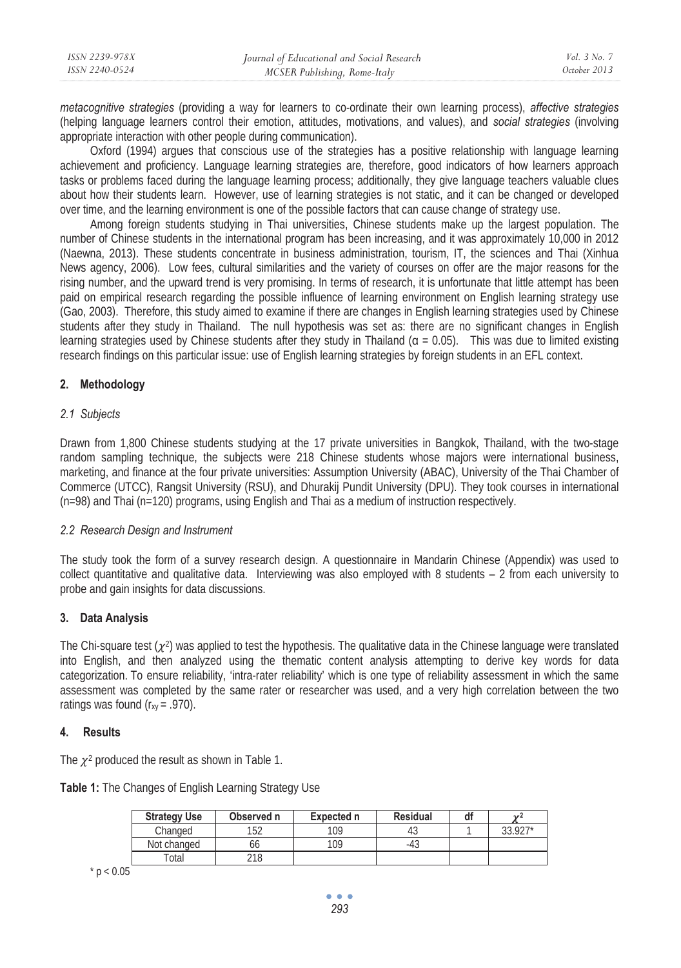| ISSN 2239-978X | Journal of Educational and Social Research | Vol. 3 No. 7 |
|----------------|--------------------------------------------|--------------|
| ISSN 2240-0524 | MCSER Publishing, Rome-Italy               | October 2013 |
|                |                                            |              |

*metacognitive strategies* (providing a way for learners to co-ordinate their own learning process), *affective strategies* (helping language learners control their emotion, attitudes, motivations, and values), and *social strategies* (involving appropriate interaction with other people during communication).

Oxford (1994) argues that conscious use of the strategies has a positive relationship with language learning achievement and proficiency. Language learning strategies are, therefore, good indicators of how learners approach tasks or problems faced during the language learning process; additionally, they give language teachers valuable clues about how their students learn. However, use of learning strategies is not static, and it can be changed or developed over time, and the learning environment is one of the possible factors that can cause change of strategy use.

Among foreign students studying in Thai universities, Chinese students make up the largest population. The number of Chinese students in the international program has been increasing, and it was approximately 10,000 in 2012 (Naewna, 2013). These students concentrate in business administration, tourism, IT, the sciences and Thai (Xinhua News agency, 2006). Low fees, cultural similarities and the variety of courses on offer are the major reasons for the rising number, and the upward trend is very promising. In terms of research, it is unfortunate that little attempt has been paid on empirical research regarding the possible influence of learning environment on English learning strategy use (Gao, 2003). Therefore, this study aimed to examine if there are changes in English learning strategies used by Chinese students after they study in Thailand. The null hypothesis was set as: there are no significant changes in English learning strategies used by Chinese students after they study in Thailand ( $\alpha = 0.05$ ). This was due to limited existing research findings on this particular issue: use of English learning strategies by foreign students in an EFL context.

### **2. Methodology**

### *2.1 Subjects*

Drawn from 1,800 Chinese students studying at the 17 private universities in Bangkok, Thailand, with the two-stage random sampling technique, the subjects were 218 Chinese students whose majors were international business, marketing, and finance at the four private universities: Assumption University (ABAC), University of the Thai Chamber of Commerce (UTCC), Rangsit University (RSU), and Dhurakij Pundit University (DPU). They took courses in international (n=98) and Thai (n=120) programs, using English and Thai as a medium of instruction respectively.

### *2.2 Research Design and Instrument*

The study took the form of a survey research design. A questionnaire in Mandarin Chinese (Appendix) was used to collect quantitative and qualitative data. Interviewing was also employed with 8 students – 2 from each university to probe and gain insights for data discussions.

# **3. Data Analysis**

The Chi-square test  $(\chi^2)$  was applied to test the hypothesis. The qualitative data in the Chinese language were translated into English, and then analyzed using the thematic content analysis attempting to derive key words for data categorization. To ensure reliability, 'intra-rater reliability' which is one type of reliability assessment in which the same assessment was completed by the same rater or researcher was used, and a very high correlation between the two ratings was found  $(r_{xy} = .970)$ .

# **4. Results**

The  $\chi^2$  produced the result as shown in Table 1.

|  | Table 1: The Changes of English Learning Strategy Use |  |  |
|--|-------------------------------------------------------|--|--|
|  |                                                       |  |  |

| <b>Strategy Use</b> | Observed n | Expected n | Residual | di | $\overline{u}$ |
|---------------------|------------|------------|----------|----|----------------|
| Changed             | 152        | 109        | ن4       |    | 33.927*        |
| Not changed         | οc         | 109        | -4.      |    |                |
| Total               | 218        |            |          |    |                |

 $*$  p  $< 0.05$ 

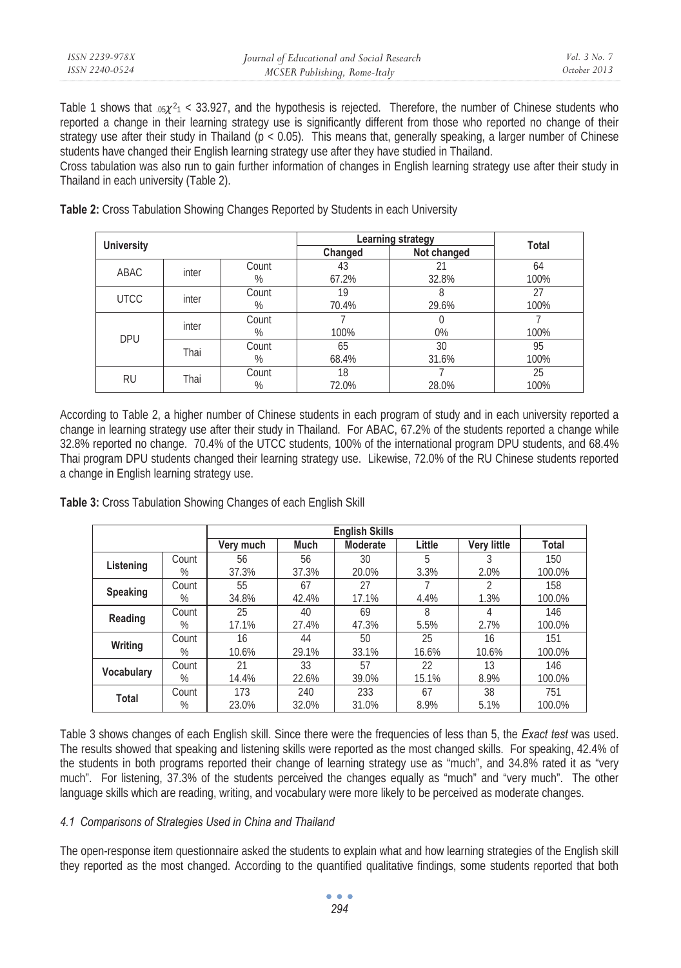| ISSN 2239-978X | Journal of Educational and Social Research | Vol. 3 No. 7 |
|----------------|--------------------------------------------|--------------|
| ISSN 2240-0524 | MCSER Publishing, Rome-Italy               | October 2013 |

Table 1 shows that  $.05\chi^2$ 1 < 33.927, and the hypothesis is rejected. Therefore, the number of Chinese students who reported a change in their learning strategy use is significantly different from those who reported no change of their strategy use after their study in Thailand ( $p < 0.05$ ). This means that, generally speaking, a larger number of Chinese students have changed their English learning strategy use after they have studied in Thailand.

Cross tabulation was also run to gain further information of changes in English learning strategy use after their study in Thailand in each university (Table 2).

| <b>University</b> |       |            | Learning strategy | <b>Total</b> |            |
|-------------------|-------|------------|-------------------|--------------|------------|
|                   |       |            | Changed           | Not changed  |            |
| ABAC              | inter | Count<br>% | 43<br>67.2%       | 21<br>32.8%  | 64<br>100% |
| <b>UTCC</b>       | inter | Count<br>% | 19<br>70.4%       | 29.6%        | 27<br>100% |
| <b>DPU</b>        | inter | Count<br>% | 100%              | 0%           | 100%       |
|                   | Thai  | Count<br>% | 65<br>68.4%       | 30<br>31.6%  | 95<br>100% |
| <b>RU</b>         | Thai  | Count<br>% | 18<br>72.0%       | 28.0%        | 25<br>100% |

**Table 2:** Cross Tabulation Showing Changes Reported by Students in each University

According to Table 2, a higher number of Chinese students in each program of study and in each university reported a change in learning strategy use after their study in Thailand. For ABAC, 67.2% of the students reported a change while 32.8% reported no change. 70.4% of the UTCC students, 100% of the international program DPU students, and 68.4% Thai program DPU students changed their learning strategy use. Likewise, 72.0% of the RU Chinese students reported a change in English learning strategy use.

|                 |       | Very much | Much  | Moderate | Little | <b>Very little</b> | Total  |
|-----------------|-------|-----------|-------|----------|--------|--------------------|--------|
| Listening       | Count | 56        | 56    | 30       | 5      | 3                  | 150    |
|                 | %     | 37.3%     | 37.3% | 20.0%    | 3.3%   | 2.0%               | 100.0% |
| <b>Speaking</b> | Count | 55        | 67    | 27       |        | $\mathfrak{D}$     | 158    |
|                 | %     | 34.8%     | 42.4% | 17.1%    | 4.4%   | 1.3%               | 100.0% |
|                 | Count | 25        | 40    | 69       | 8      | 4                  | 146    |
| Reading         | %     | 17.1%     | 27.4% | 47.3%    | 5.5%   | 2.7%               | 100.0% |
| Writing         | Count | 16        | 44    | 50       | 25     | 16                 | 151    |
|                 | %     | 10.6%     | 29.1% | 33.1%    | 16.6%  | 10.6%              | 100.0% |
| Vocabulary      | Count | 21        | 33    | 57       | 22     | 13                 | 146    |
|                 | %     | 14.4%     | 22.6% | 39.0%    | 15.1%  | 8.9%               | 100.0% |
| <b>Total</b>    | Count | 173       | 240   | 233      | 67     | 38                 | 751    |
|                 | %     | 23.0%     | 32.0% | 31.0%    | 8.9%   | 5.1%               | 100.0% |

**Table 3:** Cross Tabulation Showing Changes of each English Skill

Table 3 shows changes of each English skill. Since there were the frequencies of less than 5, the *Exact test* was used. The results showed that speaking and listening skills were reported as the most changed skills. For speaking, 42.4% of the students in both programs reported their change of learning strategy use as "much", and 34.8% rated it as "very much". For listening, 37.3% of the students perceived the changes equally as "much" and "very much". The other language skills which are reading, writing, and vocabulary were more likely to be perceived as moderate changes.

# *4.1 Comparisons of Strategies Used in China and Thailand*

The open-response item questionnaire asked the students to explain what and how learning strategies of the English skill they reported as the most changed. According to the quantified qualitative findings, some students reported that both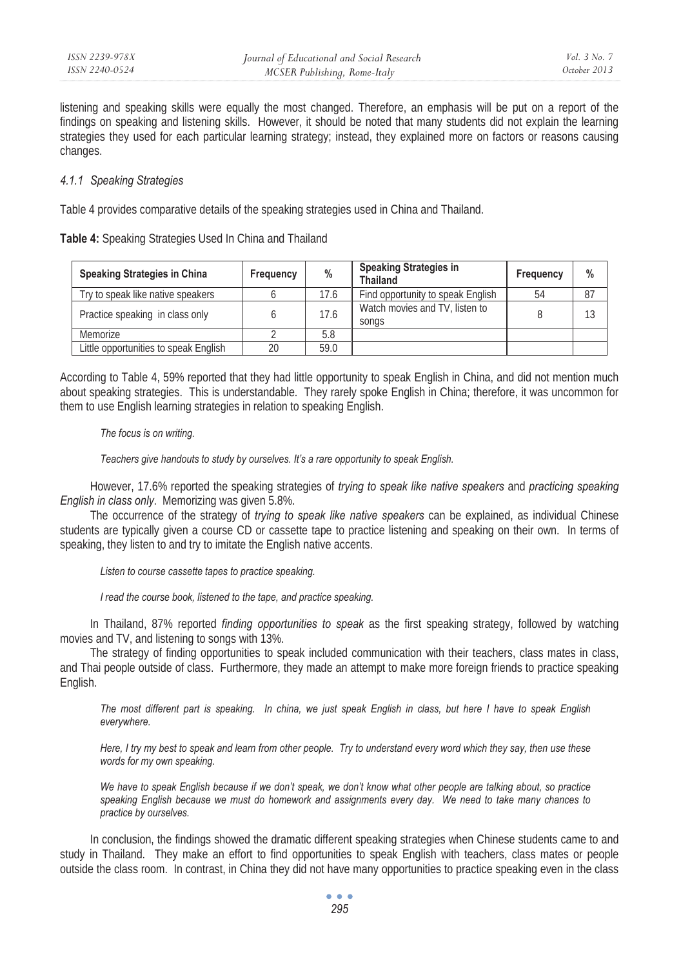listening and speaking skills were equally the most changed. Therefore, an emphasis will be put on a report of the findings on speaking and listening skills. However, it should be noted that many students did not explain the learning strategies they used for each particular learning strategy; instead, they explained more on factors or reasons causing changes.

### *4.1.1 Speaking Strategies*

Table 4 provides comparative details of the speaking strategies used in China and Thailand.

| Table 4: Speaking Strategies Used In China and Thailand |  |  |  |
|---------------------------------------------------------|--|--|--|
|                                                         |  |  |  |

| Speaking Strategies in China          | Frequency | $\%$ | <b>Speaking Strategies in</b><br><b>Thailand</b> | Frequency | $\frac{0}{0}$ |
|---------------------------------------|-----------|------|--------------------------------------------------|-----------|---------------|
| Try to speak like native speakers     |           | 17.6 | Find opportunity to speak English                | 54        | 87            |
| Practice speaking in class only       |           | 17.6 | Watch movies and TV. listen to<br>songs          |           | 13            |
| Memorize                              |           | 5.8  |                                                  |           |               |
| Little opportunities to speak English | 20        | 59.0 |                                                  |           |               |

According to Table 4, 59% reported that they had little opportunity to speak English in China, and did not mention much about speaking strategies. This is understandable. They rarely spoke English in China; therefore, it was uncommon for them to use English learning strategies in relation to speaking English.

*The focus is on writing.* 

*Teachers give handouts to study by ourselves. It's a rare opportunity to speak English.* 

However, 17.6% reported the speaking strategies of *trying to speak like native speakers* and *practicing speaking English in class only*. Memorizing was given 5.8%.

The occurrence of the strategy of *trying to speak like native speakers* can be explained, as individual Chinese students are typically given a course CD or cassette tape to practice listening and speaking on their own. In terms of speaking, they listen to and try to imitate the English native accents.

*Listen to course cassette tapes to practice speaking.* 

*I read the course book, listened to the tape, and practice speaking.* 

In Thailand, 87% reported *finding opportunities to speak* as the first speaking strategy, followed by watching movies and TV, and listening to songs with 13%.

The strategy of finding opportunities to speak included communication with their teachers, class mates in class, and Thai people outside of class. Furthermore, they made an attempt to make more foreign friends to practice speaking English.

*The most different part is speaking. In china, we just speak English in class, but here I have to speak English everywhere.* 

*Here, I try my best to speak and learn from other people. Try to understand every word which they say, then use these words for my own speaking.* 

*We have to speak English because if we don't speak, we don't know what other people are talking about, so practice speaking English because we must do homework and assignments every day. We need to take many chances to practice by ourselves.* 

In conclusion, the findings showed the dramatic different speaking strategies when Chinese students came to and study in Thailand. They make an effort to find opportunities to speak English with teachers, class mates or people outside the class room. In contrast, in China they did not have many opportunities to practice speaking even in the class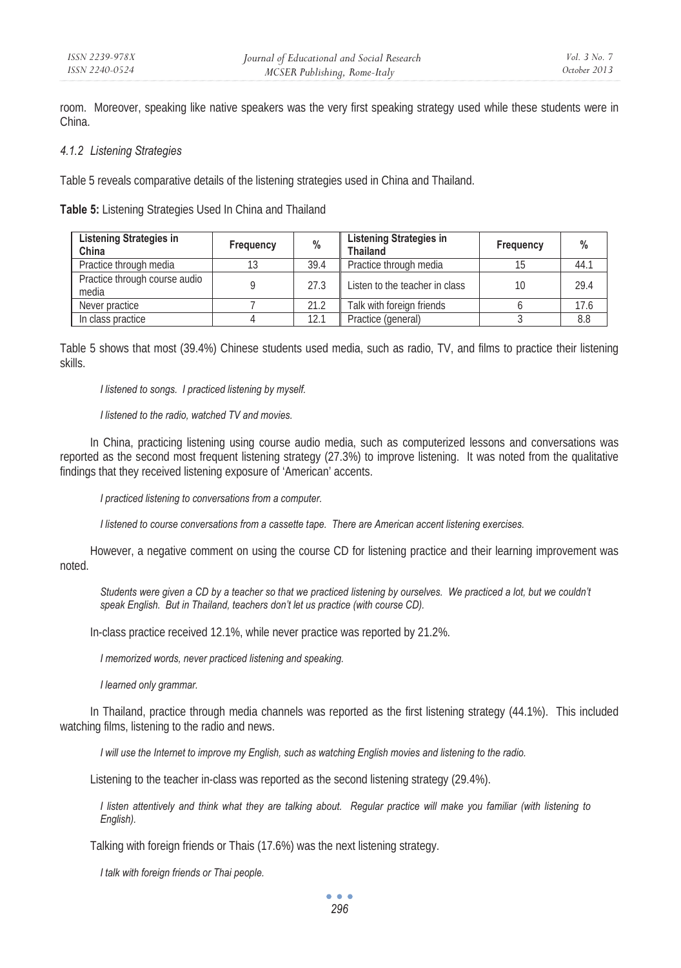room. Moreover, speaking like native speakers was the very first speaking strategy used while these students were in China.

### *4.1.2 Listening Strategies*

Table 5 reveals comparative details of the listening strategies used in China and Thailand.

**Table 5:** Listening Strategies Used In China and Thailand

| <b>Listening Strategies in</b><br>China | Frequency | %    | <b>Listening Strategies in</b><br><b>Thailand</b> | Frequency | $\frac{0}{0}$ |
|-----------------------------------------|-----------|------|---------------------------------------------------|-----------|---------------|
| Practice through media                  |           | 39.4 | Practice through media                            |           | 44.1          |
| Practice through course audio<br>media  |           | 27.3 | Listen to the teacher in class                    | 10        | 29.4          |
| Never practice                          |           | 21.2 | Talk with foreign friends                         |           | 17.6          |
| In class practice                       |           | 12.1 | Practice (general)                                |           | 8.8           |

Table 5 shows that most (39.4%) Chinese students used media, such as radio, TV, and films to practice their listening skills.

*I listened to songs. I practiced listening by myself.* 

*I listened to the radio, watched TV and movies.* 

In China, practicing listening using course audio media, such as computerized lessons and conversations was reported as the second most frequent listening strategy (27.3%) to improve listening. It was noted from the qualitative findings that they received listening exposure of 'American' accents.

*I practiced listening to conversations from a computer.* 

*I listened to course conversations from a cassette tape. There are American accent listening exercises.* 

However, a negative comment on using the course CD for listening practice and their learning improvement was noted.

Students were given a CD by a teacher so that we practiced listening by ourselves. We practiced a lot, but we couldn't *speak English. But in Thailand, teachers don't let us practice (with course CD).* 

In-class practice received 12.1%, while never practice was reported by 21.2%.

*I memorized words, never practiced listening and speaking.* 

*I learned only grammar.* 

In Thailand, practice through media channels was reported as the first listening strategy (44.1%). This included watching films, listening to the radio and news.

*I will use the Internet to improve my English, such as watching English movies and listening to the radio.* 

Listening to the teacher in-class was reported as the second listening strategy (29.4%).

*I listen attentively and think what they are talking about. Regular practice will make you familiar (with listening to English).* 

Talking with foreign friends or Thais (17.6%) was the next listening strategy.

*I talk with foreign friends or Thai people.* 

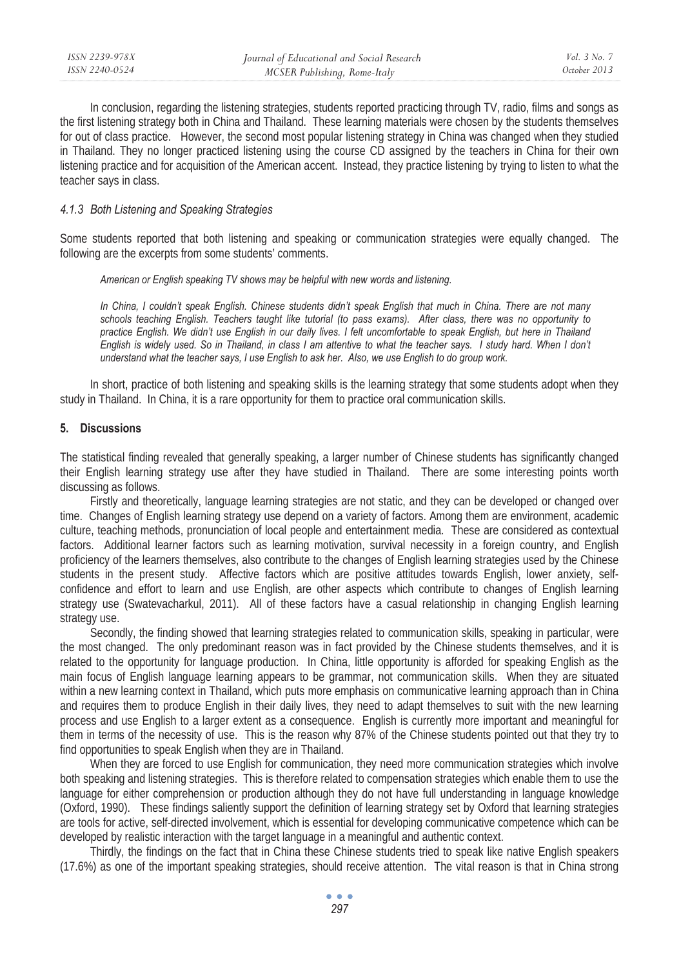| ISSN 2239-978X | Journal of Educational and Social Research | Vol. 3 No. 7 |
|----------------|--------------------------------------------|--------------|
| ISSN 2240-0524 | MCSER Publishing, Rome-Italy               | October 2013 |

In conclusion, regarding the listening strategies, students reported practicing through TV, radio, films and songs as the first listening strategy both in China and Thailand. These learning materials were chosen by the students themselves for out of class practice. However, the second most popular listening strategy in China was changed when they studied in Thailand. They no longer practiced listening using the course CD assigned by the teachers in China for their own listening practice and for acquisition of the American accent. Instead, they practice listening by trying to listen to what the teacher says in class.

#### *4.1.3 Both Listening and Speaking Strategies*

Some students reported that both listening and speaking or communication strategies were equally changed. The following are the excerpts from some students' comments.

*American or English speaking TV shows may be helpful with new words and listening.* 

In China, I couldn't speak English. Chinese students didn't speak English that much in China. There are not many *schools teaching English. Teachers taught like tutorial (to pass exams). After class, there was no opportunity to practice English. We didn't use English in our daily lives. I felt uncomfortable to speak English, but here in Thailand English is widely used. So in Thailand, in class I am attentive to what the teacher says. I study hard. When I don't understand what the teacher says, I use English to ask her. Also, we use English to do group work.* 

In short, practice of both listening and speaking skills is the learning strategy that some students adopt when they study in Thailand. In China, it is a rare opportunity for them to practice oral communication skills.

#### **5. Discussions**

The statistical finding revealed that generally speaking, a larger number of Chinese students has significantly changed their English learning strategy use after they have studied in Thailand. There are some interesting points worth discussing as follows.

Firstly and theoretically, language learning strategies are not static, and they can be developed or changed over time. Changes of English learning strategy use depend on a variety of factors. Among them are environment, academic culture, teaching methods, pronunciation of local people and entertainment media. These are considered as contextual factors. Additional learner factors such as learning motivation, survival necessity in a foreign country, and English proficiency of the learners themselves, also contribute to the changes of English learning strategies used by the Chinese students in the present study. Affective factors which are positive attitudes towards English, lower anxiety, selfconfidence and effort to learn and use English, are other aspects which contribute to changes of English learning strategy use (Swatevacharkul, 2011). All of these factors have a casual relationship in changing English learning strategy use.

Secondly, the finding showed that learning strategies related to communication skills, speaking in particular, were the most changed. The only predominant reason was in fact provided by the Chinese students themselves, and it is related to the opportunity for language production. In China, little opportunity is afforded for speaking English as the main focus of English language learning appears to be grammar, not communication skills. When they are situated within a new learning context in Thailand, which puts more emphasis on communicative learning approach than in China and requires them to produce English in their daily lives, they need to adapt themselves to suit with the new learning process and use English to a larger extent as a consequence. English is currently more important and meaningful for them in terms of the necessity of use. This is the reason why 87% of the Chinese students pointed out that they try to find opportunities to speak English when they are in Thailand.

When they are forced to use English for communication, they need more communication strategies which involve both speaking and listening strategies. This is therefore related to compensation strategies which enable them to use the language for either comprehension or production although they do not have full understanding in language knowledge (Oxford, 1990). These findings saliently support the definition of learning strategy set by Oxford that learning strategies are tools for active, self-directed involvement, which is essential for developing communicative competence which can be developed by realistic interaction with the target language in a meaningful and authentic context.

Thirdly, the findings on the fact that in China these Chinese students tried to speak like native English speakers (17.6%) as one of the important speaking strategies, should receive attention. The vital reason is that in China strong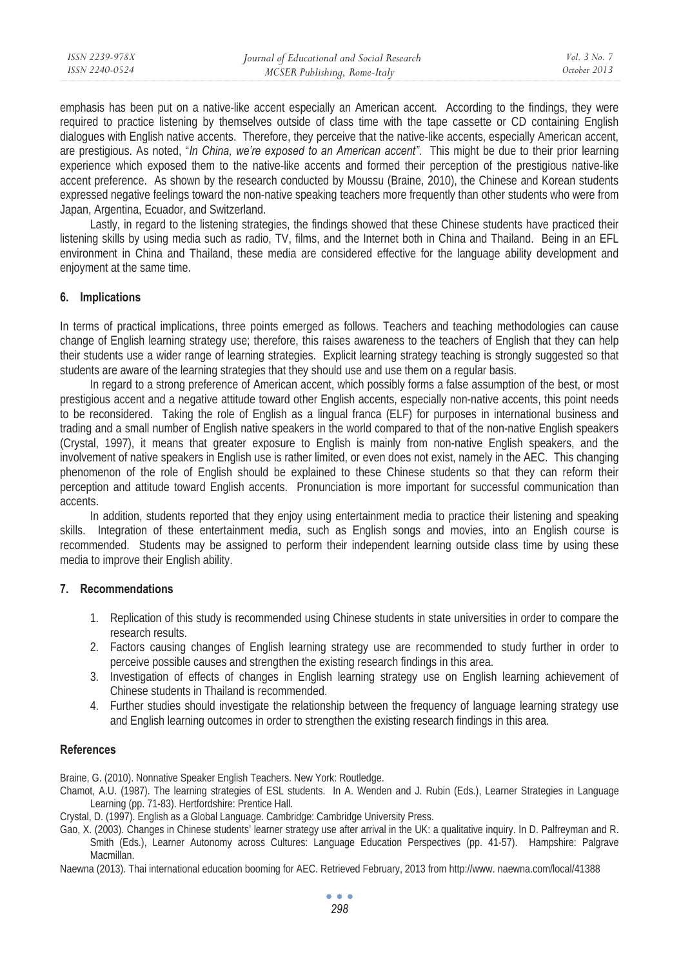| ISSN 2239-978X | Journal of Educational and Social Research | Vol. 3 No. 3 |
|----------------|--------------------------------------------|--------------|
| ISSN 2240-0524 | MCSER Publishing, Rome-Italy               | October 2013 |
|                |                                            |              |

emphasis has been put on a native-like accent especially an American accent. According to the findings, they were required to practice listening by themselves outside of class time with the tape cassette or CD containing English dialogues with English native accents. Therefore, they perceive that the native-like accents, especially American accent, are prestigious. As noted, "*In China, we're exposed to an American accent"*. This might be due to their prior learning experience which exposed them to the native-like accents and formed their perception of the prestigious native-like accent preference. As shown by the research conducted by Moussu (Braine, 2010), the Chinese and Korean students expressed negative feelings toward the non-native speaking teachers more frequently than other students who were from Japan, Argentina, Ecuador, and Switzerland.

Lastly, in regard to the listening strategies, the findings showed that these Chinese students have practiced their listening skills by using media such as radio, TV, films, and the Internet both in China and Thailand. Being in an EFL environment in China and Thailand, these media are considered effective for the language ability development and enjoyment at the same time.

#### **6. Implications**

In terms of practical implications, three points emerged as follows. Teachers and teaching methodologies can cause change of English learning strategy use; therefore, this raises awareness to the teachers of English that they can help their students use a wider range of learning strategies. Explicit learning strategy teaching is strongly suggested so that students are aware of the learning strategies that they should use and use them on a regular basis.

In regard to a strong preference of American accent, which possibly forms a false assumption of the best, or most prestigious accent and a negative attitude toward other English accents, especially non-native accents, this point needs to be reconsidered. Taking the role of English as a lingual franca (ELF) for purposes in international business and trading and a small number of English native speakers in the world compared to that of the non-native English speakers (Crystal, 1997), it means that greater exposure to English is mainly from non-native English speakers, and the involvement of native speakers in English use is rather limited, or even does not exist, namely in the AEC. This changing phenomenon of the role of English should be explained to these Chinese students so that they can reform their perception and attitude toward English accents. Pronunciation is more important for successful communication than accents.

In addition, students reported that they enjoy using entertainment media to practice their listening and speaking skills. Integration of these entertainment media, such as English songs and movies, into an English course is recommended. Students may be assigned to perform their independent learning outside class time by using these media to improve their English ability.

### **7. Recommendations**

- 1. Replication of this study is recommended using Chinese students in state universities in order to compare the research results.
- 2. Factors causing changes of English learning strategy use are recommended to study further in order to perceive possible causes and strengthen the existing research findings in this area.
- 3. Investigation of effects of changes in English learning strategy use on English learning achievement of Chinese students in Thailand is recommended.
- 4. Further studies should investigate the relationship between the frequency of language learning strategy use and English learning outcomes in order to strengthen the existing research findings in this area.

#### **References**

Braine, G. (2010). Nonnative Speaker English Teachers. New York: Routledge.

- Chamot, A.U. (1987). The learning strategies of ESL students. In A. Wenden and J. Rubin (Eds.), Learner Strategies in Language Learning (pp. 71-83). Hertfordshire: Prentice Hall.
- Crystal, D. (1997). English as a Global Language. Cambridge: Cambridge University Press.
- Gao, X. (2003). Changes in Chinese students' learner strategy use after arrival in the UK: a qualitative inquiry. In D. Palfreyman and R. Smith (Eds.), Learner Autonomy across Cultures: Language Education Perspectives (pp. 41-57). Hampshire: Palgrave Macmillan.

Naewna (2013). Thai international education booming for AEC. Retrieved February, 2013 from http://www. naewna.com/local/41388